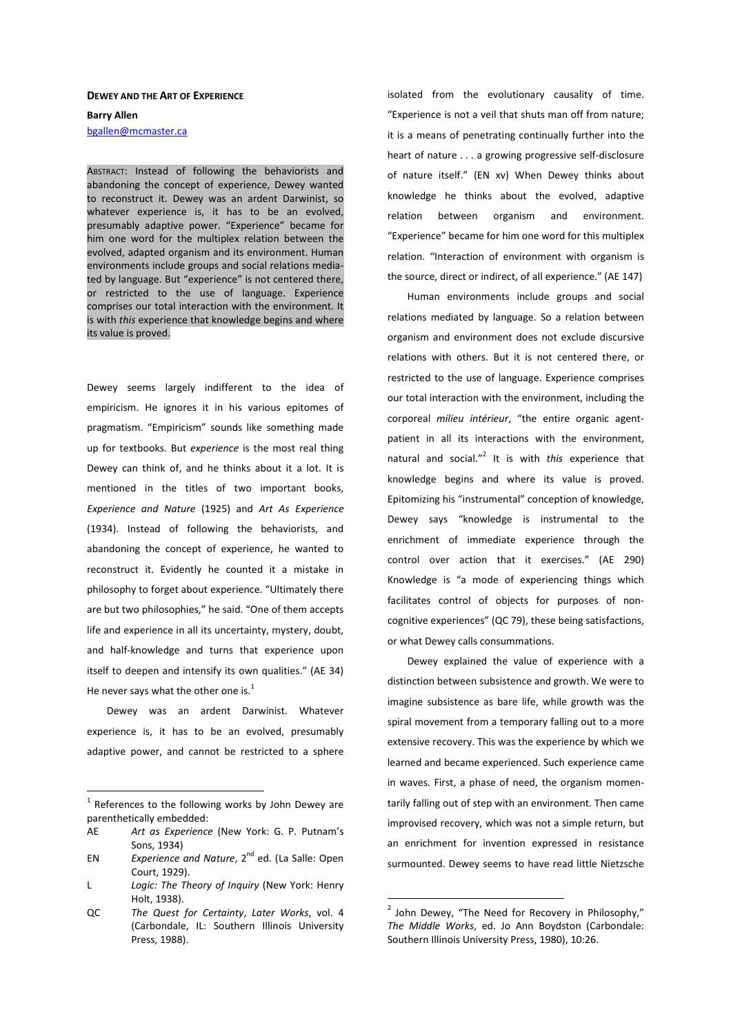## **DEWEY AND THE ART OF EXPERIENCE**

**Barry Allen**  bgallen@mcmaster.ca

ABSTRACT: Instead of following the behaviorists and abandoning the concept of experience, Dewey wanted to reconstruct it. Dewey was an ardent Darwinist, so whatever experience is, it has to be an evolved, presumably adaptive power. "Experience" became for him one word for the multiplex relation between the evolved, adapted organism and its environment. Human environments include groups and social relations mediated by language. But "experience" is not centered there, or restricted to the use of language. Experience comprises our total interaction with the environment. It is with *this* experience that knowledge begins and where its value is proved.

Dewey seems largely indifferent to the idea of empiricism. He ignores it in his various epitomes of pragmatism. "Empiricism" sounds like something made up for textbooks. But *experience* is the most real thing Dewey can think of, and he thinks about it a lot. It is mentioned in the titles of two important books, *Experience and Nature* (1925) and *Art As Experience* (1934). Instead of following the behaviorists, and abandoning the concept of experience, he wanted to reconstruct it. Evidently he counted it a mistake in philosophy to forget about experience. "Ultimately there are but two philosophies," he said. "One of them accepts life and experience in all its uncertainty, mystery, doubt, and half-knowledge and turns that experience upon itself to deepen and intensify its own qualities." (AE 34) He never says what the other one is. $<sup>1</sup>$ </sup>

 Dewey was an ardent Darwinist. Whatever experience is, it has to be an evolved, presumably adaptive power, and cannot be restricted to a sphere isolated from the evolutionary causality of time. "Experience is not a veil that shuts man off from nature; it is a means of penetrating continually further into the heart of nature . . . a growing progressive self-disclosure of nature itself." (EN xv) When Dewey thinks about knowledge he thinks about the evolved, adaptive relation between organism and environment. "Experience" became for him one word for this multiplex relation. "Interaction of environment with organism is the source, direct or indirect, of all experience." (AE 147)

 Human environments include groups and social relations mediated by language. So a relation between organism and environment does not exclude discursive relations with others. But it is not centered there, or restricted to the use of language. Experience comprises our total interaction with the environment, including the corporeal *milieu intérieur*, "the entire organic agentpatient in all its interactions with the environment, natural and social."<sup>2</sup> It is with *this* experience that knowledge begins and where its value is proved. Epitomizing his "instrumental" conception of knowledge, Dewey says "knowledge is instrumental to the enrichment of immediate experience through the control over action that it exercises." (AE 290) Knowledge is "a mode of experiencing things which facilitates control of objects for purposes of noncognitive experiences" (QC 79), these being satisfactions, or what Dewey calls consummations.

 Dewey explained the value of experience with a distinction between subsistence and growth. We were to imagine subsistence as bare life, while growth was the spiral movement from a temporary falling out to a more extensive recovery. This was the experience by which we learned and became experienced. Such experience came in waves. First, a phase of need, the organism momentarily falling out of step with an environment. Then came improvised recovery, which was not a simple return, but an enrichment for invention expressed in resistance surmounted. Dewey seems to have read little Nietzsche

The sum of the following works by John Dewey are parenthetically embedded:

AE *Art as Experience* (New York: G. P. Putnam's Sons, 1934)

EN *Experience and Nature*, 2nd ed. (La Salle: Open Court, 1929).

L *Logic: The Theory of Inquiry* (New York: Henry Holt, 1938).

QC *The Quest for Certainty*, *Later Works*, vol. 4 (Carbondale, IL: Southern Illinois University Press, 1988).

 $^2$  John Dewey, "The Need for Recovery in Philosophy," *The Middle Works*, ed. Jo Ann Boydston (Carbondale: Southern Illinois University Press, 1980), 10:26.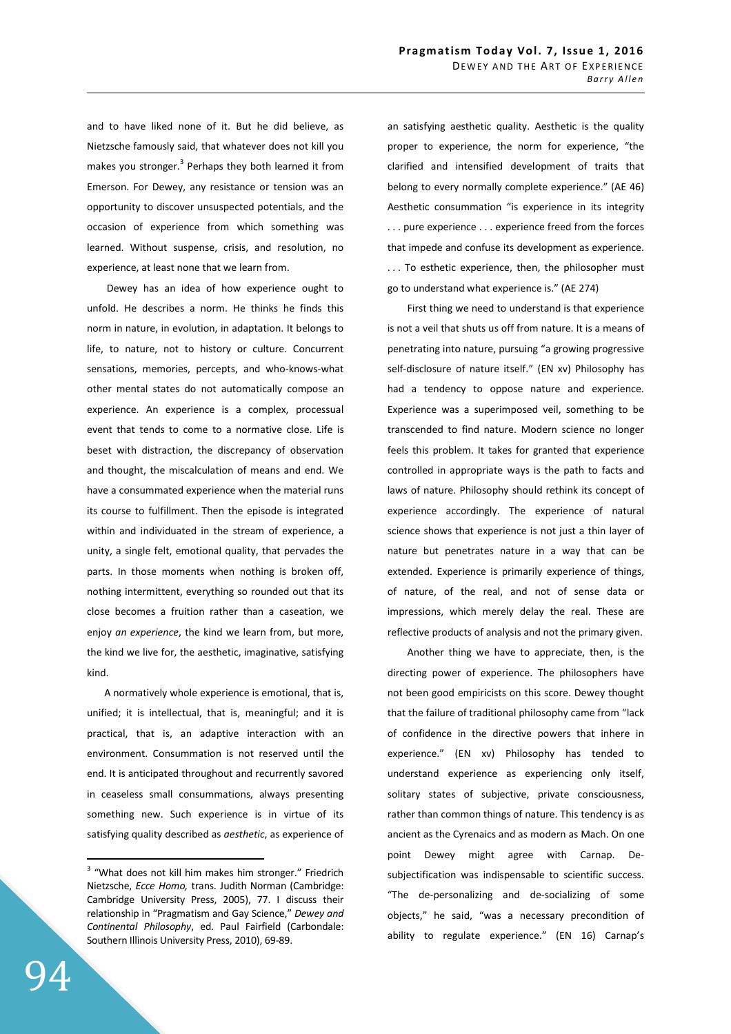and to have liked none of it. But he did believe, as Nietzsche famously said, that whatever does not kill you makes you stronger.<sup>3</sup> Perhaps they both learned it from Emerson. For Dewey, any resistance or tension was an opportunity to discover unsuspected potentials, and the occasion of experience from which something was learned. Without suspense, crisis, and resolution, no experience, at least none that we learn from.

 Dewey has an idea of how experience ought to unfold. He describes a norm. He thinks he finds this norm in nature, in evolution, in adaptation. It belongs to life, to nature, not to history or culture. Concurrent sensations, memories, percepts, and who-knows-what other mental states do not automatically compose an experience. An experience is a complex, processual event that tends to come to a normative close. Life is beset with distraction, the discrepancy of observation and thought, the miscalculation of means and end. We have a consummated experience when the material runs its course to fulfillment. Then the episode is integrated within and individuated in the stream of experience, a unity, a single felt, emotional quality, that pervades the parts. In those moments when nothing is broken off, nothing intermittent, everything so rounded out that its close becomes a fruition rather than a caseation, we enjoy *an experience*, the kind we learn from, but more, the kind we live for, the aesthetic, imaginative, satisfying kind.

A normatively whole experience is emotional, that is, unified; it is intellectual, that is, meaningful; and it is practical, that is, an adaptive interaction with an environment. Consummation is not reserved until the end. It is anticipated throughout and recurrently savored in ceaseless small consummations, always presenting something new. Such experience is in virtue of its satisfying quality described as *aesthetic*, as experience of an satisfying aesthetic quality. Aesthetic is the quality proper to experience, the norm for experience, "the clarified and intensified development of traits that belong to every normally complete experience." (AE 46) Aesthetic consummation "is experience in its integrity . . . pure experience . . . experience freed from the forces that impede and confuse its development as experience. . . . To esthetic experience, then, the philosopher must go to understand what experience is." (AE 274)

 First thing we need to understand is that experience is not a veil that shuts us off from nature. It is a means of penetrating into nature, pursuing "a growing progressive self-disclosure of nature itself." (EN xv) Philosophy has had a tendency to oppose nature and experience. Experience was a superimposed veil, something to be transcended to find nature. Modern science no longer feels this problem. It takes for granted that experience controlled in appropriate ways is the path to facts and laws of nature. Philosophy should rethink its concept of experience accordingly. The experience of natural science shows that experience is not just a thin layer of nature but penetrates nature in a way that can be extended. Experience is primarily experience of things, of nature, of the real, and not of sense data or impressions, which merely delay the real. These are reflective products of analysis and not the primary given.

 Another thing we have to appreciate, then, is the directing power of experience. The philosophers have not been good empiricists on this score. Dewey thought that the failure of traditional philosophy came from "lack of confidence in the directive powers that inhere in experience." (EN xv) Philosophy has tended to understand experience as experiencing only itself, solitary states of subjective, private consciousness, rather than common things of nature. This tendency is as ancient as the Cyrenaics and as modern as Mach. On one point Dewey might agree with Carnap. Desubjectification was indispensable to scientific success. "The de-personalizing and de-socializing of some objects," he said, "was a necessary precondition of ability to regulate experience." (EN 16) Carnap's

<sup>&</sup>lt;sup>3</sup> "What does not kill him makes him stronger." Friedrich Nietzsche, *Ecce Homo,* trans. Judith Norman (Cambridge: Cambridge University Press, 2005), 77. I discuss their relationship in "Pragmatism and Gay Science," *Dewey and Continental Philosophy*, ed. Paul Fairfield (Carbondale: Southern Illinois University Press, 2010), 69-89.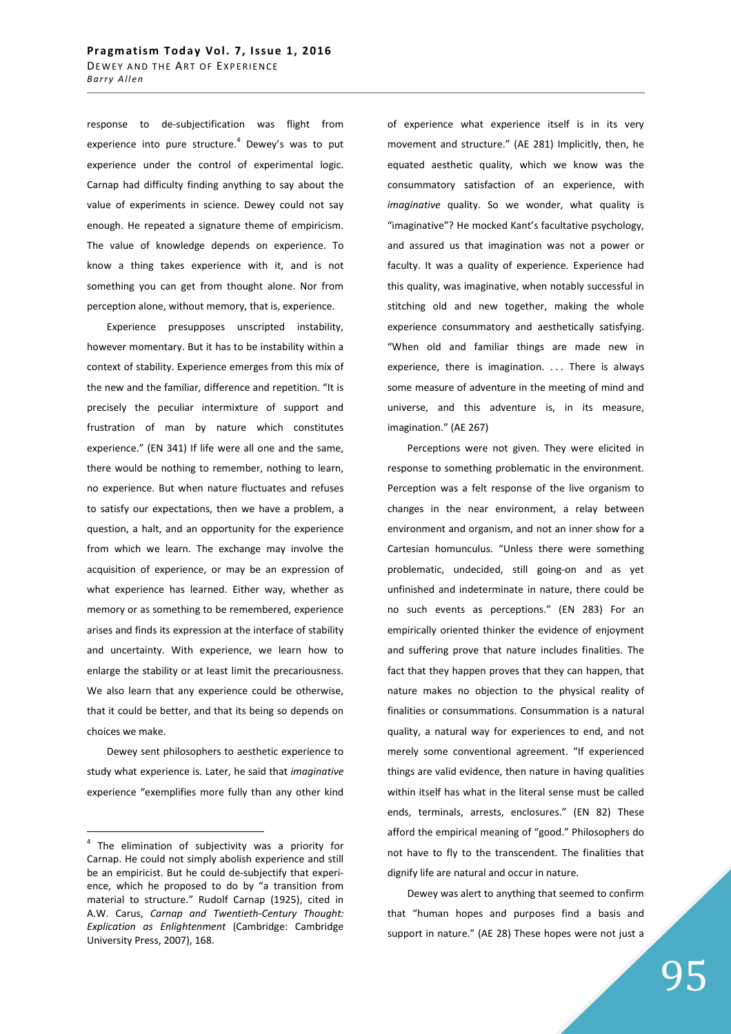response to de-subjectification was flight from experience into pure structure. $4$  Dewey's was to put experience under the control of experimental logic. Carnap had difficulty finding anything to say about the value of experiments in science. Dewey could not say enough. He repeated a signature theme of empiricism. The value of knowledge depends on experience. To know a thing takes experience with it, and is not something you can get from thought alone. Nor from perception alone, without memory, that is, experience.

 Experience presupposes unscripted instability, however momentary. But it has to be instability within a context of stability. Experience emerges from this mix of the new and the familiar, difference and repetition. "It is precisely the peculiar intermixture of support and frustration of man by nature which constitutes experience." (EN 341) If life were all one and the same, there would be nothing to remember, nothing to learn, no experience. But when nature fluctuates and refuses to satisfy our expectations, then we have a problem, a question, a halt, and an opportunity for the experience from which we learn. The exchange may involve the acquisition of experience, or may be an expression of what experience has learned. Either way, whether as memory or as something to be remembered, experience arises and finds its expression at the interface of stability and uncertainty. With experience, we learn how to enlarge the stability or at least limit the precariousness. We also learn that any experience could be otherwise, that it could be better, and that its being so depends on choices we make.

 Dewey sent philosophers to aesthetic experience to study what experience is. Later, he said that *imaginative*  experience "exemplifies more fully than any other kind of experience what experience itself is in its very movement and structure." (AE 281) Implicitly, then, he equated aesthetic quality, which we know was the consummatory satisfaction of an experience, with *imaginative* quality. So we wonder, what quality is "imaginative"? He mocked Kant's facultative psychology, and assured us that imagination was not a power or faculty. It was a quality of experience. Experience had this quality, was imaginative, when notably successful in stitching old and new together, making the whole experience consummatory and aesthetically satisfying. "When old and familiar things are made new in experience, there is imagination. ... There is always some measure of adventure in the meeting of mind and universe, and this adventure is, in its measure, imagination." (AE 267)

 Perceptions were not given. They were elicited in response to something problematic in the environment. Perception was a felt response of the live organism to changes in the near environment, a relay between environment and organism, and not an inner show for a Cartesian homunculus. "Unless there were something problematic, undecided, still going-on and as yet unfinished and indeterminate in nature, there could be no such events as perceptions." (EN 283) For an empirically oriented thinker the evidence of enjoyment and suffering prove that nature includes finalities. The fact that they happen proves that they can happen, that nature makes no objection to the physical reality of finalities or consummations. Consummation is a natural quality, a natural way for experiences to end, and not merely some conventional agreement. "If experienced things are valid evidence, then nature in having qualities within itself has what in the literal sense must be called ends, terminals, arrests, enclosures." (EN 82) These afford the empirical meaning of "good." Philosophers do not have to fly to the transcendent. The finalities that dignify life are natural and occur in nature.

 Dewey was alert to anything that seemed to confirm that "human hopes and purposes find a basis and support in nature." (AE 28) These hopes were not just a

 4 The elimination of subjectivity was a priority for Carnap. He could not simply abolish experience and still be an empiricist. But he could de-subjectify that experience, which he proposed to do by "a transition from material to structure." Rudolf Carnap (1925), cited in A.W. Carus, *Carnap and Twentieth-Century Thought: Explication as Enlightenment* (Cambridge: Cambridge University Press, 2007), 168.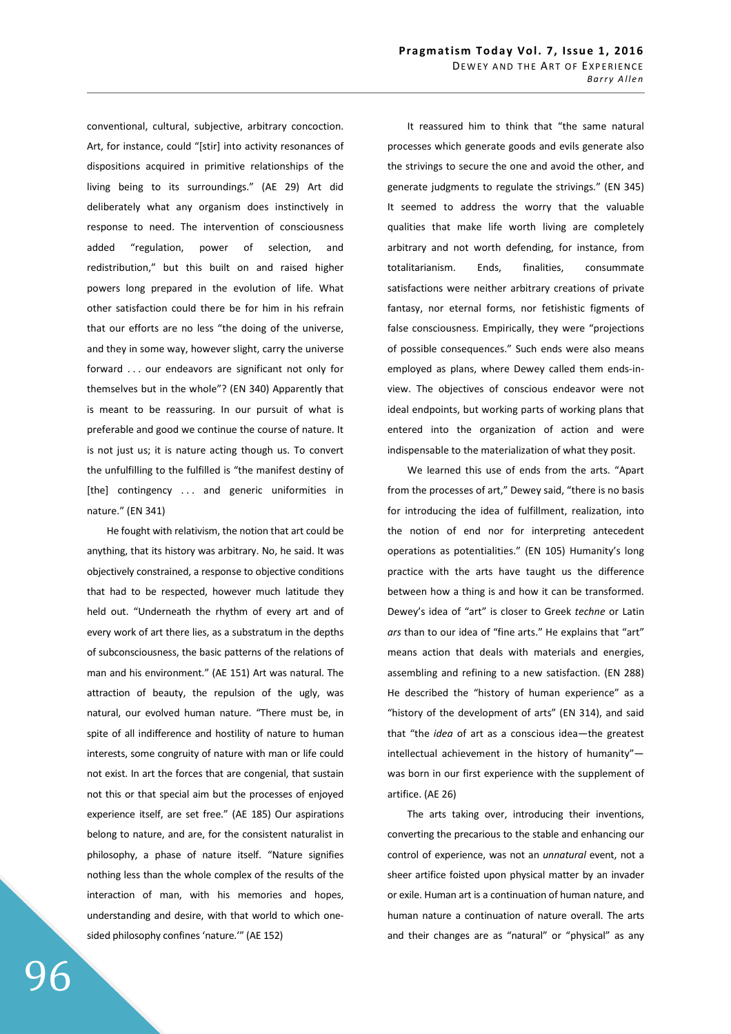conventional, cultural, subjective, arbitrary concoction. Art, for instance, could "[stir] into activity resonances of dispositions acquired in primitive relationships of the living being to its surroundings." (AE 29) Art did deliberately what any organism does instinctively in response to need. The intervention of consciousness added "regulation, power of selection, and redistribution," but this built on and raised higher powers long prepared in the evolution of life. What other satisfaction could there be for him in his refrain that our efforts are no less "the doing of the universe, and they in some way, however slight, carry the universe forward . . . our endeavors are significant not only for themselves but in the whole"? (EN 340) Apparently that is meant to be reassuring. In our pursuit of what is preferable and good we continue the course of nature. It is not just us; it is nature acting though us. To convert the unfulfilling to the fulfilled is "the manifest destiny of [the] contingency . . . and generic uniformities in nature." (EN 341)

 He fought with relativism, the notion that art could be anything, that its history was arbitrary. No, he said. It was objectively constrained, a response to objective conditions that had to be respected, however much latitude they held out. "Underneath the rhythm of every art and of every work of art there lies, as a substratum in the depths of subconsciousness, the basic patterns of the relations of man and his environment." (AE 151) Art was natural. The attraction of beauty, the repulsion of the ugly, was natural, our evolved human nature. "There must be, in spite of all indifference and hostility of nature to human interests, some congruity of nature with man or life could not exist. In art the forces that are congenial, that sustain not this or that special aim but the processes of enjoyed experience itself, are set free." (AE 185) Our aspirations belong to nature, and are, for the consistent naturalist in philosophy, a phase of nature itself. "Nature signifies nothing less than the whole complex of the results of the interaction of man, with his memories and hopes, understanding and desire, with that world to which onesided philosophy confines 'nature.'" (AE 152)

 It reassured him to think that "the same natural processes which generate goods and evils generate also the strivings to secure the one and avoid the other, and generate judgments to regulate the strivings." (EN 345) It seemed to address the worry that the valuable qualities that make life worth living are completely arbitrary and not worth defending, for instance, from totalitarianism. Ends, finalities, consummate satisfactions were neither arbitrary creations of private fantasy, nor eternal forms, nor fetishistic figments of false consciousness. Empirically, they were "projections of possible consequences." Such ends were also means employed as plans, where Dewey called them ends-inview. The objectives of conscious endeavor were not ideal endpoints, but working parts of working plans that entered into the organization of action and were indispensable to the materialization of what they posit.

 We learned this use of ends from the arts. "Apart from the processes of art," Dewey said, "there is no basis for introducing the idea of fulfillment, realization, into the notion of end nor for interpreting antecedent operations as potentialities." (EN 105) Humanity's long practice with the arts have taught us the difference between how a thing is and how it can be transformed. Dewey's idea of "art" is closer to Greek *techne* or Latin *ars* than to our idea of "fine arts." He explains that "art" means action that deals with materials and energies, assembling and refining to a new satisfaction. (EN 288) He described the "history of human experience" as a "history of the development of arts" (EN 314), and said that "the *idea* of art as a conscious idea—the greatest intellectual achievement in the history of humanity" was born in our first experience with the supplement of artifice. (AE 26)

 The arts taking over, introducing their inventions, converting the precarious to the stable and enhancing our control of experience, was not an *unnatural* event, not a sheer artifice foisted upon physical matter by an invader or exile. Human art is a continuation of human nature, and human nature a continuation of nature overall. The arts and their changes are as "natural" or "physical" as any

96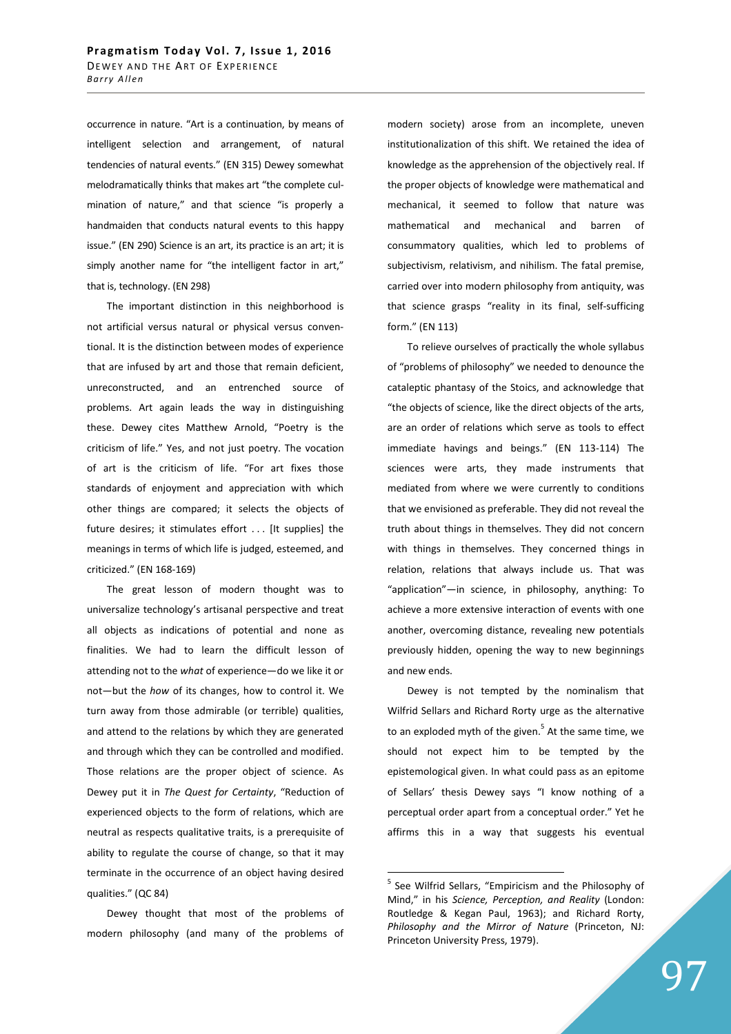occurrence in nature. "Art is a continuation, by means of intelligent selection and arrangement, of natural tendencies of natural events." (EN 315) Dewey somewhat melodramatically thinks that makes art "the complete culmination of nature," and that science "is properly a handmaiden that conducts natural events to this happy issue." (EN 290) Science is an art, its practice is an art; it is simply another name for "the intelligent factor in art," that is, technology. (EN 298)

 The important distinction in this neighborhood is not artificial versus natural or physical versus conventional. It is the distinction between modes of experience that are infused by art and those that remain deficient, unreconstructed, and an entrenched source of problems. Art again leads the way in distinguishing these. Dewey cites Matthew Arnold, "Poetry is the criticism of life." Yes, and not just poetry. The vocation of art is the criticism of life. "For art fixes those standards of enjoyment and appreciation with which other things are compared; it selects the objects of future desires; it stimulates effort . . . [It supplies] the meanings in terms of which life is judged, esteemed, and criticized." (EN 168-169)

 The great lesson of modern thought was to universalize technology's artisanal perspective and treat all objects as indications of potential and none as finalities. We had to learn the difficult lesson of attending not to the *what* of experience—do we like it or not—but the *how* of its changes, how to control it. We turn away from those admirable (or terrible) qualities, and attend to the relations by which they are generated and through which they can be controlled and modified. Those relations are the proper object of science. As Dewey put it in *The Quest for Certainty*, "Reduction of experienced objects to the form of relations, which are neutral as respects qualitative traits, is a prerequisite of ability to regulate the course of change, so that it may terminate in the occurrence of an object having desired qualities." (QC 84)

 Dewey thought that most of the problems of modern philosophy (and many of the problems of modern society) arose from an incomplete, uneven institutionalization of this shift. We retained the idea of knowledge as the apprehension of the objectively real. If the proper objects of knowledge were mathematical and mechanical, it seemed to follow that nature was mathematical and mechanical and barren of consummatory qualities, which led to problems of subjectivism, relativism, and nihilism. The fatal premise, carried over into modern philosophy from antiquity, was that science grasps "reality in its final, self-sufficing form." (EN 113)

 To relieve ourselves of practically the whole syllabus of "problems of philosophy" we needed to denounce the cataleptic phantasy of the Stoics, and acknowledge that "the objects of science, like the direct objects of the arts, are an order of relations which serve as tools to effect immediate havings and beings." (EN 113-114) The sciences were arts, they made instruments that mediated from where we were currently to conditions that we envisioned as preferable. They did not reveal the truth about things in themselves. They did not concern with things in themselves. They concerned things in relation, relations that always include us. That was "application"—in science, in philosophy, anything: To achieve a more extensive interaction of events with one another, overcoming distance, revealing new potentials previously hidden, opening the way to new beginnings and new ends.

 Dewey is not tempted by the nominalism that Wilfrid Sellars and Richard Rorty urge as the alternative to an exploded myth of the given.<sup>5</sup> At the same time, we should not expect him to be tempted by the epistemological given. In what could pass as an epitome of Sellars' thesis Dewey says "I know nothing of a perceptual order apart from a conceptual order." Yet he affirms this in a way that suggests his eventual

<sup>&</sup>lt;sup>5</sup> See Wilfrid Sellars, "Empiricism and the Philosophy of Mind," in his *Science, Perception, and Reality* (London: Routledge & Kegan Paul, 1963); and Richard Rorty, *Philosophy and the Mirror of Nature* (Princeton, NJ: Princeton University Press, 1979).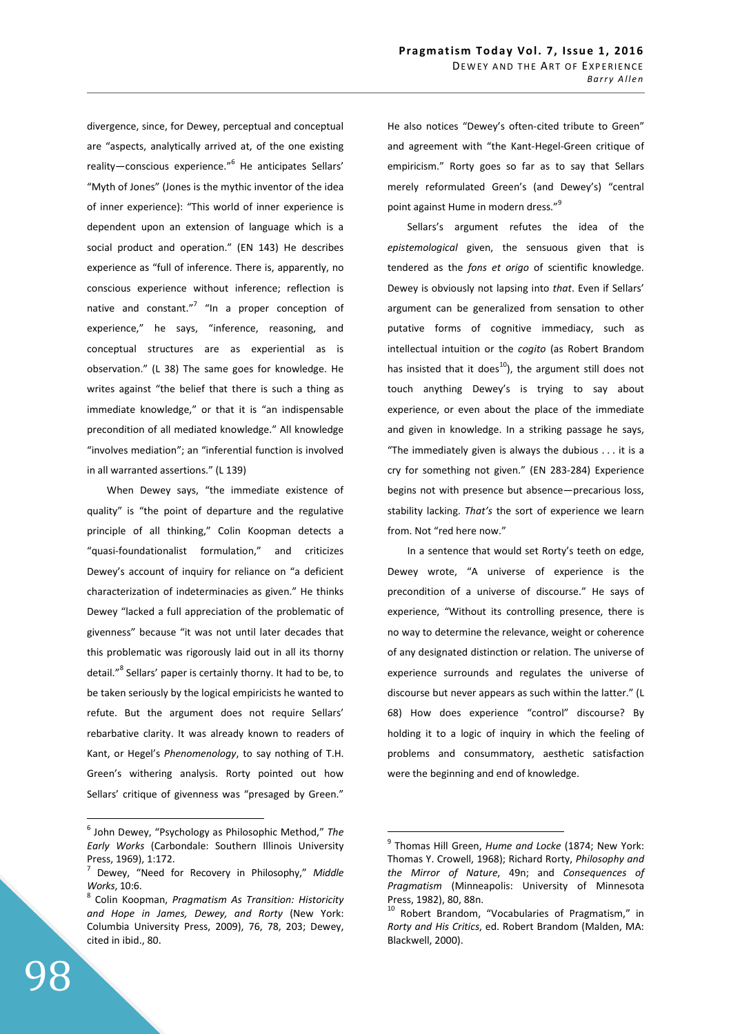divergence, since, for Dewey, perceptual and conceptual are "aspects, analytically arrived at, of the one existing reality—conscious experience."<sup>6</sup> He anticipates Sellars' "Myth of Jones" (Jones is the mythic inventor of the idea of inner experience): "This world of inner experience is dependent upon an extension of language which is a social product and operation." (EN 143) He describes experience as "full of inference. There is, apparently, no conscious experience without inference; reflection is native and constant."<sup>7</sup> "In a proper conception of experience," he says, "inference, reasoning, and conceptual structures are as experiential as is observation." (L 38) The same goes for knowledge. He writes against "the belief that there is such a thing as immediate knowledge," or that it is "an indispensable precondition of all mediated knowledge." All knowledge "involves mediation"; an "inferential function is involved in all warranted assertions." (L 139)

 When Dewey says, "the immediate existence of quality" is "the point of departure and the regulative principle of all thinking," Colin Koopman detects a "quasi-foundationalist formulation," and criticizes Dewey's account of inquiry for reliance on "a deficient characterization of indeterminacies as given." He thinks Dewey "lacked a full appreciation of the problematic of givenness" because "it was not until later decades that this problematic was rigorously laid out in all its thorny detail."<sup>8</sup> Sellars' paper is certainly thorny. It had to be, to be taken seriously by the logical empiricists he wanted to refute. But the argument does not require Sellars' rebarbative clarity. It was already known to readers of Kant, or Hegel's *Phenomenology*, to say nothing of T.H. Green's withering analysis. Rorty pointed out how Sellars' critique of givenness was "presaged by Green." He also notices "Dewey's often-cited tribute to Green" and agreement with "the Kant-Hegel-Green critique of empiricism." Rorty goes so far as to say that Sellars merely reformulated Green's (and Dewey's) "central point against Hume in modern dress."<sup>9</sup>

 Sellars's argument refutes the idea of the *epistemological* given, the sensuous given that is tendered as the *fons et origo* of scientific knowledge. Dewey is obviously not lapsing into *that*. Even if Sellars' argument can be generalized from sensation to other putative forms of cognitive immediacy, such as intellectual intuition or the *cogito* (as Robert Brandom has insisted that it does<sup>10</sup>), the argument still does not touch anything Dewey's is trying to say about experience, or even about the place of the immediate and given in knowledge. In a striking passage he says, "The immediately given is always the dubious . . . it is a cry for something not given." (EN 283-284) Experience begins not with presence but absence—precarious loss, stability lacking. *That's* the sort of experience we learn from. Not "red here now."

 In a sentence that would set Rorty's teeth on edge, Dewey wrote, "A universe of experience is the precondition of a universe of discourse." He says of experience, "Without its controlling presence, there is no way to determine the relevance, weight or coherence of any designated distinction or relation. The universe of experience surrounds and regulates the universe of discourse but never appears as such within the latter." (L 68) How does experience "control" discourse? By holding it to a logic of inquiry in which the feeling of problems and consummatory, aesthetic satisfaction were the beginning and end of knowledge.

 $\overline{a}$ 

<sup>6</sup> John Dewey, "Psychology as Philosophic Method," *The Early Works* (Carbondale: Southern Illinois University Press, 1969), 1:172.

<sup>7</sup> Dewey, "Need for Recovery in Philosophy," *Middle Works*, 10:6.

<sup>8</sup> Colin Koopman, *Pragmatism As Transition: Historicity and Hope in James, Dewey, and Rorty* (New York: Columbia University Press, 2009), 76, 78, 203; Dewey, cited in ibid., 80.

<sup>9</sup> Thomas Hill Green, *Hume and Locke* (1874; New York: Thomas Y. Crowell, 1968); Richard Rorty, *Philosophy and the Mirror of Nature*, 49n; and *Consequences of Pragmatism* (Minneapolis: University of Minnesota Press, 1982), 80, 88n.

<sup>&</sup>lt;sup>10</sup> Robert Brandom, "Vocabularies of Pragmatism," in *Rorty and His Critics*, ed. Robert Brandom (Malden, MA: Blackwell, 2000).